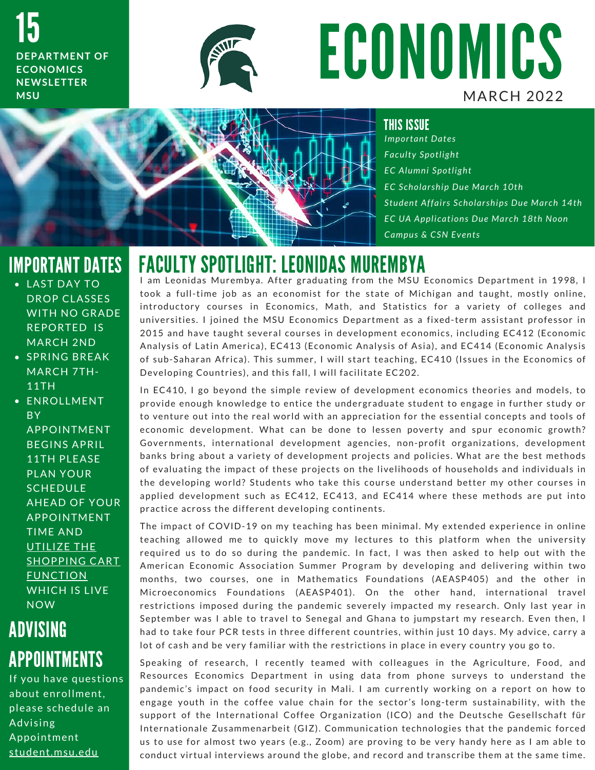15 **DEPARTMENT OF ECONOMICS N E W S L E T T E R M S U**



# **ECONOMICS MARCH 2022**



THIS ISSUE

*I m p o r t a n t D a t e s F a c u l t y S p o t l i g h t E C A l u m n i S p o t l i g h t E C S c h o l a r s h i p D u e M a r c h 1 0 t h S t u d e n t A f f a i r s S c h o l a r s h i p s D u e M a r c h 1 4 t h* **EC UA Applications Due March 18th Noon** *Campus & CSN Events* 

### IMPORTANT DATES

- LAST DAY TO DROP CLASSES WITH NO GRADE REPORTED IS **MARCH 2ND**
- **SPRING BREAK** MARCH 7TH-11TH

· ENROLLMENT **BY** A P P O IN T MENT BEGINS APRIL 11TH PLEASE PLAN YOUR **SCHEDULE AHEAD OF YOUR** A P P O IN T MENT **TIME AND** UTILIZE THE **SHOPPING CART FUNCTION** WHICH IS LIVE **NOW** 

# ADVISING APPOINTMENTS

If you have questions about enrollment. please schedule an Advising Appointment student.msu.edu

# FACULTY SPOTLIGHT: LEONIDAS MUREMBYA<br>I am Leonidas Murembya. After graduating from the MSU Economics Department in 1998, I

I am Leonidas Murembya. After graduating from the MSU Economics Department in 1998, I<br>took a full-time job as an economist for the state of Michigan and taught, mostly online, I am Leonidas Murembya. After graduating from the MSU Economics Department in 1998, I<br>took a full-time job as an economist for the state of Michigan and taught, mostly online,<br>introductory courses in Economics, Math, and S took a full-time job as an economist for the state of Michigan and taught, mostly online,<br>introductory courses in Economics, Math, and Statistics for a variety of colleges and<br>universities. I joined the MSU Economics Depar universities. I joined the MSU Economics Department as a fixed-term assistant professor in<br>2015 and have taught several courses in development economics, including EC412 (Economic Analysis of Latin America), EC413 (Economic Analysis of Asia), and EC414 (Economic Analysis 2015 and have taught several courses in development economics, including EC412 (Economic<br>Analysis of Latin America), EC413 (Economic Analysis of Asia), and EC414 (Economic Analysis<br>of sub-Saharan Africa). This summer, I wi Analysis of Latin America), EC413 (Economic Analysis of Asi<br>of sub-Saharan Africa). This summer, I will start teaching, E<br>Developing Countries), and this fall, I will facilitate EC202. Developing Countries), and this fall, I will facilitate EC202.<br>In EC410, I go beyond the simple review of development economics theories and models, to

p r o visiting seammers), and this fan, I win radinate ESESE.<br>In EC410, I go beyond the simple review of development economics theories and models, to<br>provide enough knowledge to entice the undergraduate student to engage In EC410, I go beyond the simple review of development economics theories and models, to<br>provide enough knowledge to entice the undergraduate student to engage in further study or<br>to venture out into the real world with an provide enough knowledge to entice the undergraduate student to engage in further study or<br>to venture out into the real world with an appreciation for the essential concepts and tools of<br>economic development. What can be d to venture out into the real world with an appreciation for the essential concepts and tools of<br>economic development. What can be done to lessen poverty and spur economic growth?<br>Governments, international development agen economic development. What can be done to lessen poverty and spur economic growth?<br>Governments, international development agencies, non-profit organizations, development<br>banks bring about a variety of development projects Governments, international development agencies, non-profit organizations, development<br>banks bring about a variety of development projects and policies. What are the best methods<br>of evaluating the impact of these projects of evaluating the impact of these projects on the livelihoods of households and individuals in<br>the developing world? Students who take this course understand better my other courses in of evaluating the impact of these projects on the livelihoods of households and individuals in<br>the developing world? Students who take this course understand better my other courses in<br>applied development such as EC412, EC the developing world? Students who take this cours<br>applied development such as EC412, EC413, and E<br>practice across the different developing continents. practice acrosphism sach as Lotter, Lotter, and Lotter misro mose memods are partined<br>practice across the different developing continents.<br>The impact of COVID-19 on my teaching has been minimal. My extended experience in o

practice across the amorem acronoping comments.<br>The impact of COVID-19 on my teaching has been minimal. My extended experience in online<br>teaching allowed me to quickly move my lectures to this platform when the university teaching allowed me to quickly move my lectures to this platform when the university<br>required us to do so during the pandemic. In fact, I was then asked to help out with the teaching allowed me to quickly move my lectures to this platform when the university<br>required us to do so during the pandemic. In fact, I was then asked to help out with the<br>American Economic Association Summer Program by required us to do so during the pandemic. In fact, I was then asked to help out with the<br>American Economic Association Summer Program by developing and delivering within two<br>months, two courses, one in Mathematics Foundati months, two courses, one in Mathematics Foundations (AEASP405) and the other in<br>Microeconomics Foundations (AEASP401). On the other hand, international travel restrictions imposed during the pandemic severely impacted my research. Only last year in Microeconomics Foundations (AEASP401). On the other hand, international travel<br>restrictions imposed during the pandemic severely impacted my research. Only last year in<br>September was I able to travel to Senegal and Ghana t restrictions imposed during the pandemic severely impacted my research. Only last year in<br>September was I able to travel to Senegal and Ghana to jumpstart my research. Even then, I<br>had to take four PCR tests in three diffe had to take four PCR tests in three different countries, within just 10 days. My advice, carry a<br>lot of cash and be very familiar with the restrictions in place in every country you go to. nua to take four for tests in time afficient countries, writingset to days. My davice, early do<br>lot of cash and be very familiar with the restrictions in place in every country you go to.<br>Speaking of research, I recently t

R e s o cash and be very rammar with the restrictions in place in every coantry you go to:<br>Speaking of research, I recently teamed with colleagues in the Agriculture, Food, and<br>Resources Economics Department in using data Speaking of research, I recently teamed with colleagues in the Agriculture, Food, and<br>Resources Economics Department in using data from phone surveys to understand the<br>pandemic's impact on food security in Mali. I am curre Resources Economics Department in using data from phone surveys to understand the<br>pandemic's impact on food security in Mali. I am currently working on a report on how to<br>engage youth in the coffee value chain for the sect pandemic's impact on food security in Mali. I am currently working on a report on how to<br>engage youth in the coffee value chain for the sector's long-term sustainability, with the<br>support of the International Coffee Organi engage youth in the coffee value chain for the sector's long-term sustainability, with the<br>support of the International Coffee Organization (ICO) and the Deutsche Gesellschaft für<br>Internationale Zusammenarbeit (GIZ). Commu support of the International Coffee Organization (ICO) and the Deutsche Gesellschaft für<br>Internationale Zusammenarbeit (GIZ). Communication technologies that the pandemic forced<br>us to use for almost two years (e.g., Zoom) Internationale Zusammenarbeit (GIZ). Communication technologies that the pandemic forced<br>us to use for almost two years (e.g., Zoom) are proving to be very handy here as I am able to<br>conduct virtual interviews around the g